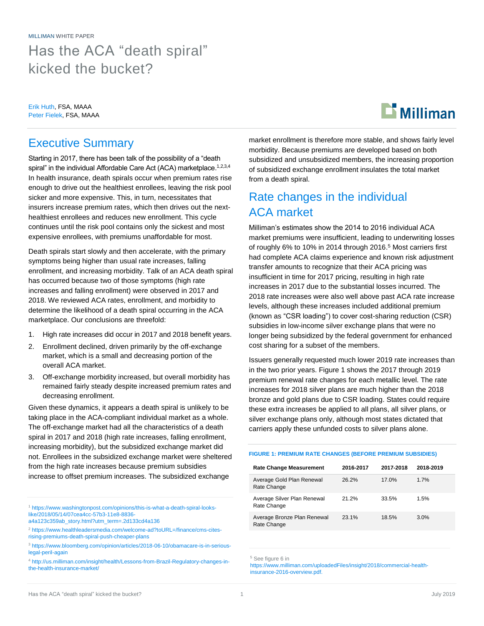MILLIMAN WHITE PAPER Has the ACA "death spiral" kicked the bucket?

Erik Huth, FSA, MAAA Peter Fielek, FSA, MAAA

# $\mathbf{B}$  Milliman

### Executive Summary

Starting in 2017, there has been talk of the possibility of a "death spiral" in the individual Affordable Care Act (ACA) marketplace.<sup>1,2,3,4</sup> In health insurance, death spirals occur when premium rates rise enough to drive out the healthiest enrollees, leaving the risk pool sicker and more expensive. This, in turn, necessitates that insurers increase premium rates, which then drives out the nexthealthiest enrollees and reduces new enrollment. This cycle continues until the risk pool contains only the sickest and most expensive enrollees, with premiums unaffordable for most.

Death spirals start slowly and then accelerate, with the primary symptoms being higher than usual rate increases, falling enrollment, and increasing morbidity. Talk of an ACA death spiral has occurred because two of those symptoms (high rate increases and falling enrollment) were observed in 2017 and 2018. We reviewed ACA rates, enrollment, and morbidity to determine the likelihood of a death spiral occurring in the ACA marketplace. Our conclusions are threefold:

- 1. High rate increases did occur in 2017 and 2018 benefit years.
- 2. Enrollment declined, driven primarily by the off-exchange market, which is a small and decreasing portion of the overall ACA market.
- 3. Off-exchange morbidity increased, but overall morbidity has remained fairly steady despite increased premium rates and decreasing enrollment.

Given these dynamics, it appears a death spiral is unlikely to be taking place in the ACA-compliant individual market as a whole. The off-exchange market had all the characteristics of a death spiral in 2017 and 2018 (high rate increases, falling enrollment, increasing morbidity), but the subsidized exchange market did not. Enrollees in the subsidized exchange market were sheltered from the high rate increases because premium subsidies increase to offset premium increases. The subsidized exchange

market enrollment is therefore more stable, and shows fairly level morbidity. Because premiums are developed based on both subsidized and unsubsidized members, the increasing proportion of subsidized exchange enrollment insulates the total market from a death spiral.

## Rate changes in the individual ACA market

Milliman's estimates show the 2014 to 2016 individual ACA market premiums were insufficient, leading to underwriting losses of roughly 6% to 10% in 2014 through 2016. <sup>5</sup> Most carriers first had complete ACA claims experience and known risk adjustment transfer amounts to recognize that their ACA pricing was insufficient in time for 2017 pricing, resulting in high rate increases in 2017 due to the substantial losses incurred. The 2018 rate increases were also well above past ACA rate increase levels, although these increases included additional premium (known as "CSR loading") to cover cost-sharing reduction (CSR) subsidies in low-income silver exchange plans that were no longer being subsidized by the federal government for enhanced cost sharing for a subset of the members.

Issuers generally requested much lower 2019 rate increases than in the two prior years. Figure 1 shows the 2017 through 2019 premium renewal rate changes for each metallic level. The rate increases for 2018 silver plans are much higher than the 2018 bronze and gold plans due to CSR loading. States could require these extra increases be applied to all plans, all silver plans, or silver exchange plans only, although most states dictated that carriers apply these unfunded costs to silver plans alone.

**FIGURE 1: PREMIUM RATE CHANGES (BEFORE PREMIUM SUBSIDIES)**

| <b>Rate Change Measurement</b>             | 2016-2017 | 2017-2018 | 2018-2019 |
|--------------------------------------------|-----------|-----------|-----------|
| Average Gold Plan Renewal<br>Rate Change   | 26.2%     | 17.0%     | 1.7%      |
| Average Silver Plan Renewal<br>Rate Change | 21.2%     | 33.5%     | 1.5%      |
| Average Bronze Plan Renewal<br>Rate Change | 23.1%     | 18.5%     | 3.0%      |

<sup>5</sup> See figure 6 in

[https://www.milliman.com/uploadedFiles/insight/2018/commercial-health](https://www.milliman.com/uploadedFiles/insight/2018/commercial-health-insurance-2016-overview.pdf)[insurance-2016-overview.pdf.](https://www.milliman.com/uploadedFiles/insight/2018/commercial-health-insurance-2016-overview.pdf)

<sup>1</sup> [https://www.washingtonpost.com/opinions/this-is-what-a-death-spiral-looks](https://www.washingtonpost.com/opinions/this-is-what-a-death-spiral-looks-like/2018/05/14/07cea4cc-57b3-11e8-8836-a4a123c359ab_story.html?utm_term=.2d133cd4a136)[like/2018/05/14/07cea4cc-57b3-11e8-8836-](https://www.washingtonpost.com/opinions/this-is-what-a-death-spiral-looks-like/2018/05/14/07cea4cc-57b3-11e8-8836-a4a123c359ab_story.html?utm_term=.2d133cd4a136)

[a4a123c359ab\\_story.html?utm\\_term=.2d133cd4a136](https://www.washingtonpost.com/opinions/this-is-what-a-death-spiral-looks-like/2018/05/14/07cea4cc-57b3-11e8-8836-a4a123c359ab_story.html?utm_term=.2d133cd4a136)

<sup>2</sup> [https://www.healthleadersmedia.com/welcome-ad?toURL=/finance/cms-cites](https://www.healthleadersmedia.com/welcome-ad?toURL=/finance/cms-cites-rising-premiums-death-spiral-push-cheaper-plans)[rising-premiums-death-spiral-push-cheaper-plans](https://www.healthleadersmedia.com/welcome-ad?toURL=/finance/cms-cites-rising-premiums-death-spiral-push-cheaper-plans)

<sup>3</sup> [https://www.bloomberg.com/opinion/articles/2018-06-10/obamacare-is-in-serious](https://www.bloomberg.com/opinion/articles/2018-06-10/obamacare-is-in-serious-legal-peril-again)[legal-peril-again](https://www.bloomberg.com/opinion/articles/2018-06-10/obamacare-is-in-serious-legal-peril-again)

<sup>4</sup> [http://us.milliman.com/insight/health/Lessons-from-Brazil-Regulatory-changes-in](http://us.milliman.com/insight/health/Lessons-from-Brazil-Regulatory-changes-in-the-health-insurance-market/)[the-health-insurance-market/](http://us.milliman.com/insight/health/Lessons-from-Brazil-Regulatory-changes-in-the-health-insurance-market/)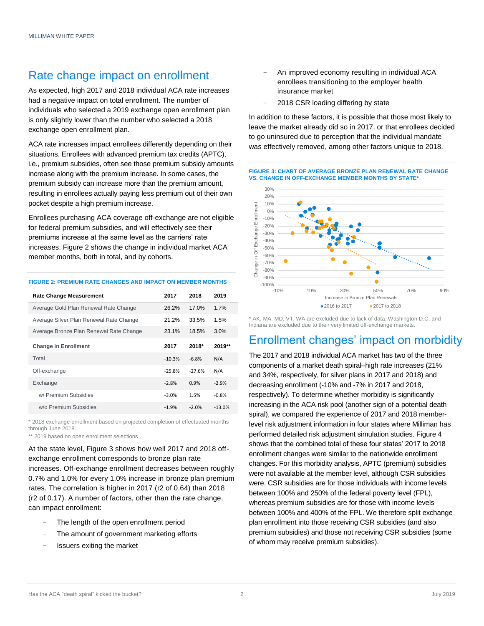## Rate change impact on enrollment

As expected, high 2017 and 2018 individual ACA rate increases had a negative impact on total enrollment. The number of individuals who selected a 2019 exchange open enrollment plan is only slightly lower than the number who selected a 2018 exchange open enrollment plan.

ACA rate increases impact enrollees differently depending on their situations. Enrollees with advanced premium tax credits (APTC), i.e., premium subsidies, often see those premium subsidy amounts increase along with the premium increase. In some cases, the premium subsidy can increase more than the premium amount, resulting in enrollees actually paying less premium out of their own pocket despite a high premium increase.

Enrollees purchasing ACA coverage off-exchange are not eligible for federal premium subsidies, and will effectively see their premiums increase at the same level as the carriers' rate increases. Figure 2 shows the change in individual market ACA member months, both in total, and by cohorts.

#### **FIGURE 2: PREMIUM RATE CHANGES AND IMPACT ON MEMBER MONTHS**

| <b>Rate Change Measurement</b>                   | 2017     | 2018     | 2019     |
|--------------------------------------------------|----------|----------|----------|
| Average Gold Plan Renewal Rate Change            | 26.2%    | 17.0%    | 1.7%     |
| Average Silver Plan Renewal Rate Change          | 21.2%    | 33.5%    | 1.5%     |
| Average Bronze Plan Renewal Rate Change<br>23.1% |          | 18.5%    | 3.0%     |
| <b>Change in Enrollment</b>                      | 2017     | $2018*$  | 2019**   |
| Total                                            | $-10.3%$ | $-6.8%$  | N/A      |
| Off-exchange                                     | $-25.8%$ | $-27.6%$ | N/A      |
| Exchange                                         | $-2.8%$  | 0.9%     | $-2.9%$  |
| w/ Premium Subsidies                             | $-3.0%$  | 1.5%     | $-0.8%$  |
| w/o Premium Subsidies                            | $-1.9%$  | $-2.0%$  | $-13.0%$ |

\* 2018 exchange enrollment based on projected completion of effectuated months through June 2018.

\*\* 2019 based on open enrollment selections.

At the state level, Figure 3 shows how well 2017 and 2018 offexchange enrollment corresponds to bronze plan rate increases. Off-exchange enrollment decreases between roughly 0.7% and 1.0% for every 1.0% increase in bronze plan premium rates. The correlation is higher in 2017 (r2 of 0.64) than 2018 (r2 of 0.17). A number of factors, other than the rate change, can impact enrollment:

- The length of the open enrollment period
- The amount of government marketing efforts
- − Issuers exiting the market
- An improved economy resulting in individual ACA enrollees transitioning to the employer health insurance market
- 2018 CSR loading differing by state

In addition to these factors, it is possible that those most likely to leave the market already did so in 2017, or that enrollees decided to go uninsured due to perception that the individual mandate was effectively removed, among other factors unique to 2018.



#### **FIGURE 3: CHART OF AVERAGE BRONZE PLAN RENEWAL RATE CHANGE VS. CHANGE IN OFF-EXCHANGE MEMBER MONTHS BY STATE\***

\* AK, MA, MD, VT, WA are excluded due to lack of data, Washington D.C. and Indiana are excluded due to their very limited off-exchange markets.

## Enrollment changes' impact on morbidity

The 2017 and 2018 individual ACA market has two of the three components of a market death spiral–high rate increases (21% and 34%, respectively, for silver plans in 2017 and 2018) and decreasing enrollment (-10% and -7% in 2017 and 2018, respectively). To determine whether morbidity is significantly increasing in the ACA risk pool (another sign of a potential death spiral), we compared the experience of 2017 and 2018 memberlevel risk adjustment information in four states where Milliman has performed detailed risk adjustment simulation studies. Figure 4 shows that the combined total of these four states' 2017 to 2018 enrollment changes were similar to the nationwide enrollment changes. For this morbidity analysis, APTC (premium) subsidies were not available at the member level, although CSR subsidies were. CSR subsidies are for those individuals with income levels between 100% and 250% of the federal poverty level (FPL), whereas premium subsidies are for those with income levels between 100% and 400% of the FPL. We therefore split exchange plan enrollment into those receiving CSR subsidies (and also premium subsidies) and those not receiving CSR subsidies (some of whom may receive premium subsidies).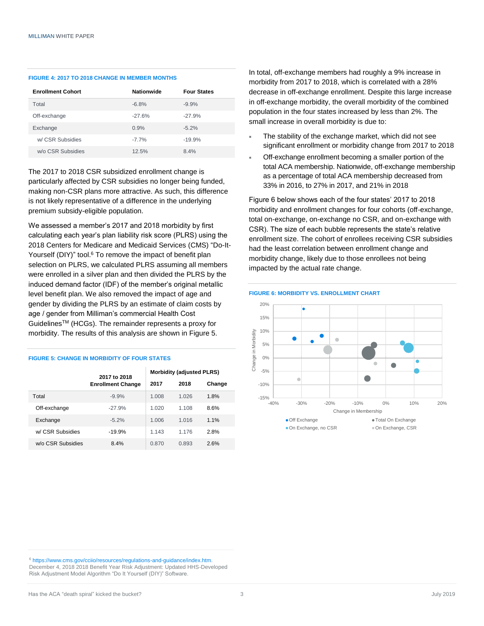#### **FIGURE 4: 2017 TO 2018 CHANGE IN MEMBER MONTHS**

| <b>Enrollment Cohort</b> | <b>Nationwide</b> | <b>Four States</b> |
|--------------------------|-------------------|--------------------|
| Total                    | $-6.8%$           | $-9.9%$            |
| Off-exchange             | $-27.6%$          | $-27.9%$           |
| Exchange                 | 0.9%              | $-5.2%$            |
| w/ CSR Subsidies         | $-7.7%$           | $-19.9%$           |
| w/o CSR Subsidies        | 12.5%             | 8.4%               |

The 2017 to 2018 CSR subsidized enrollment change is particularly affected by CSR subsidies no longer being funded, making non-CSR plans more attractive. As such, this difference is not likely representative of a difference in the underlying premium subsidy-eligible population.

We assessed a member's 2017 and 2018 morbidity by first calculating each year's plan liability risk score (PLRS) using the 2018 Centers for Medicare and Medicaid Services (CMS) "Do-It-Yourself (DIY)" tool.<sup>6</sup> To remove the impact of benefit plan selection on PLRS, we calculated PLRS assuming all members were enrolled in a silver plan and then divided the PLRS by the induced demand factor (IDF) of the member's original metallic level benefit plan. We also removed the impact of age and gender by dividing the PLRS by an estimate of claim costs by age / gender from Milliman's commercial Health Cost GuidelinesTM (HCGs). The remainder represents a proxy for morbidity. The results of this analysis are shown in Figure 5.

#### **FIGURE 5: CHANGE IN MORBIDITY OF FOUR STATES**

|                   | 2017 to 2018             | <b>Morbidity (adjusted PLRS)</b> |         |        |
|-------------------|--------------------------|----------------------------------|---------|--------|
|                   | <b>Enrollment Change</b> |                                  | 2018    | Change |
| Total             | $-9.9%$                  | 1.008                            | 1 026   | 1.8%   |
| Off-exchange      | $-27.9%$                 | 1.020                            | 1 1 0 8 | 8.6%   |
| Exchange          | $-5.2%$                  | 1.006                            | 1.016   | 1.1%   |
| w/ CSR Subsidies  | $-19.9%$                 | 1 1 4 3                          | 1 176   | 2.8%   |
| w/o CSR Subsidies | 8.4%                     | 0.870                            | 0.893   | 2.6%   |

In total, off-exchange members had roughly a 9% increase in morbidity from 2017 to 2018, which is correlated with a 28% decrease in off-exchange enrollment. Despite this large increase in off-exchange morbidity, the overall morbidity of the combined population in the four states increased by less than 2%. The small increase in overall morbidity is due to:

- The stability of the exchange market, which did not see significant enrollment or morbidity change from 2017 to 2018
- Off-exchange enrollment becoming a smaller portion of the total ACA membership. Nationwide, off-exchange membership as a percentage of total ACA membership decreased from 33% in 2016, to 27% in 2017, and 21% in 2018

Figure 6 below shows each of the four states' 2017 to 2018 morbidity and enrollment changes for four cohorts (off-exchange, total on-exchange, on-exchange no CSR, and on-exchange with CSR). The size of each bubble represents the state's relative enrollment size. The cohort of enrollees receiving CSR subsidies had the least correlation between enrollment change and morbidity change, likely due to those enrollees not being impacted by the actual rate change.



<sup>6</sup> [https://www.cms.gov/cciio/resources/regulations-and-guidance/index.htm.](https://www.cms.gov/cciio/resources/regulations-and-guidance/index.htm)  December 4, 2018 2018 Benefit Year Risk Adjustment: Updated HHS-Developed Risk Adjustment Model Algorithm "Do It Yourself (DIY)" Software.